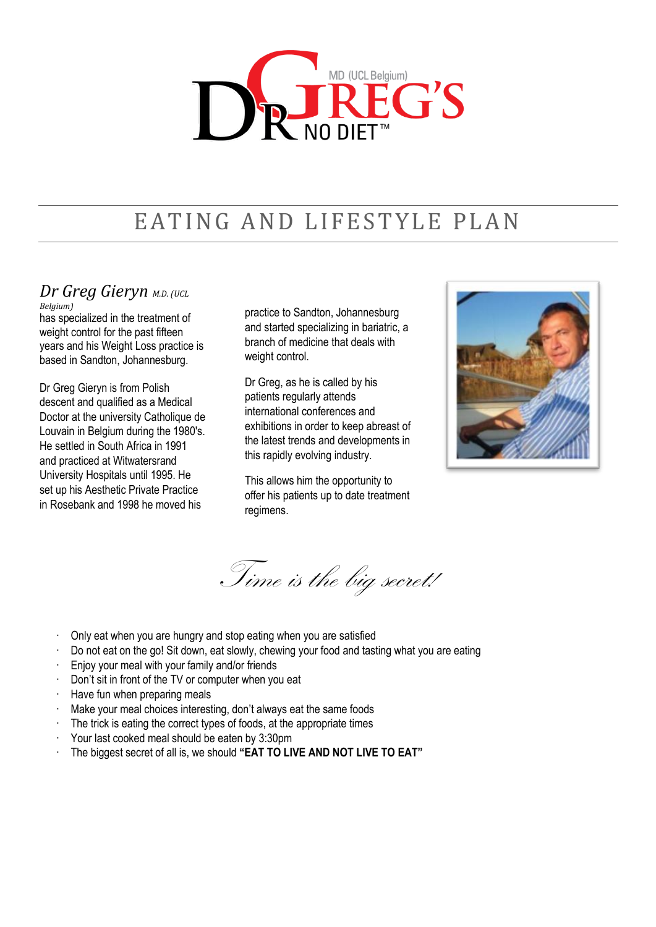

# EATING AND LIFESTYLE PLAN

# *Dr Greg Gieryn M.D. (UCL Belgium)*

has specialized in the treatment of weight control for the past fifteen years and his Weight Loss practice is based in Sandton, Johannesburg.

Dr Greg Gieryn is from Polish descent and qualified as a Medical Doctor at the university Catholique de Louvain in Belgium during the 1980's. He settled in South Africa in 1991 and practiced at Witwatersrand University Hospitals until 1995. He set up his Aesthetic Private Practice in Rosebank and 1998 he moved his

practice to Sandton, Johannesburg and started specializing in bariatric, a branch of medicine that deals with weight control.

Dr Greg, as he is called by his patients regularly attends international conferences and exhibitions in order to keep abreast of the latest trends and developments in this rapidly evolving industry.

This allows him the opportunity to offer his patients up to date treatment regimens.



Time is the big secret!

- · Only eat when you are hungry and stop eating when you are satisfied
- Do not eat on the go! Sit down, eat slowly, chewing your food and tasting what you are eating
- Enjoy your meal with your family and/or friends
- Don't sit in front of the TV or computer when you eat
- · Have fun when preparing meals
- Make your meal choices interesting, don't always eat the same foods
- The trick is eating the correct types of foods, at the appropriate times
- Your last cooked meal should be eaten by 3:30pm
- · The biggest secret of all is, we should **"EAT TO LIVE AND NOT LIVE TO EAT"**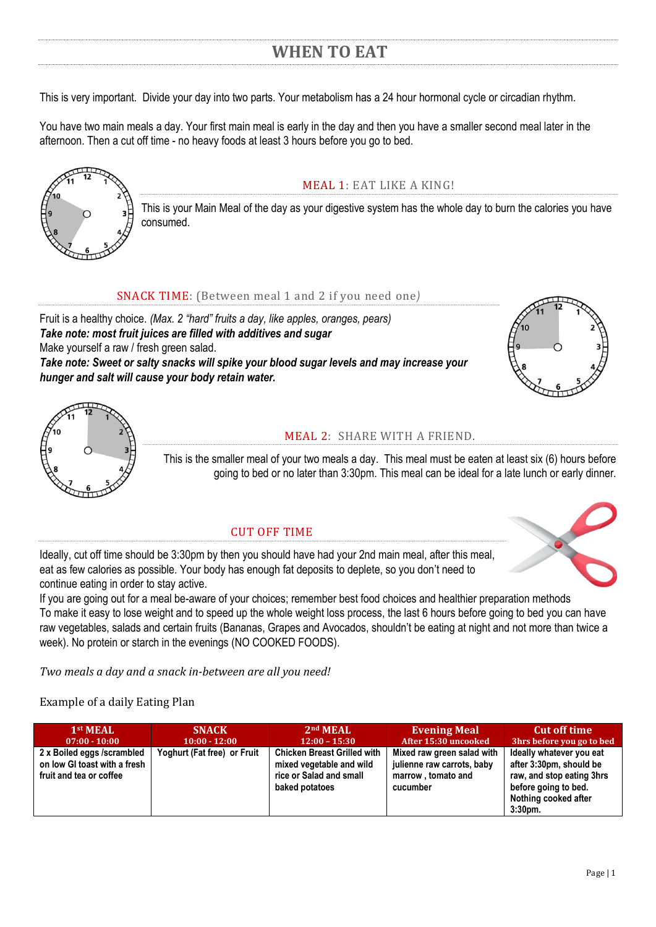# **WHEN TO EAT**

This is very important. Divide your day into two parts. Your metabolism has a 24 hour hormonal cycle or circadian rhythm.

You have two main meals a day. Your first main meal is early in the day and then you have a smaller second meal later in the afternoon. Then a cut off time - no heavy foods at least 3 hours before you go to bed.



# MEAL 1: EAT LIKE A KING!

This is your Main Meal of the day as your digestive system has the whole day to burn the calories you have consumed.

### SNACK TIME: (Between meal 1 and 2 if you need one*)*

Fruit is a healthy choice. *(Max. 2 "hard" fruits a day, like apples, oranges, pears) Take note: most fruit juices are filled with additives and sugar* Make yourself a raw / fresh green salad. *Take note: Sweet or salty snacks will spike your blood sugar levels and may increase your hunger and salt will cause your body retain water.* 





## MEAL 2: SHARE WITH A FRIEND.

This is the smaller meal of your two meals a day. This meal must be eaten at least six (6) hours before going to bed or no later than 3:30pm. This meal can be ideal for a late lunch or early dinner.

#### CUT OFF TIME

Ideally, cut off time should be 3:30pm by then you should have had your 2nd main meal, after this meal, eat as few calories as possible. Your body has enough fat deposits to deplete, so you don't need to continue eating in order to stay active.

If you are going out for a meal be-aware of your choices; remember best food choices and healthier preparation methods To make it easy to lose weight and to speed up the whole weight loss process, the last 6 hours before going to bed you can have raw vegetables, salads and certain fruits (Bananas, Grapes and Avocados, shouldn't be eating at night and not more than twice a week). No protein or starch in the evenings (NO COOKED FOODS).

*Two meals a day and a snack in-between are all you need!*

## Example of a daily Eating Plan

| 1 <sup>st</sup> MEAL                                                                  | <b>SNACK</b>                | 2 <sup>nd</sup> MEAL                                                                                        | <b>Evening Meal</b>                                                                        | <b>Cut off time</b>                                                                                                                            |
|---------------------------------------------------------------------------------------|-----------------------------|-------------------------------------------------------------------------------------------------------------|--------------------------------------------------------------------------------------------|------------------------------------------------------------------------------------------------------------------------------------------------|
| $07:00 - 10:00$                                                                       | $10:00 - 12:00$             | $12:00 - 15:30$                                                                                             | After 15:30 uncooked                                                                       | 3hrs before you go to bed                                                                                                                      |
| 2 x Boiled eggs /scrambled<br>on low GI toast with a fresh<br>fruit and tea or coffee | Yoghurt (Fat free) or Fruit | <b>Chicken Breast Grilled with</b><br>mixed vegetable and wild<br>rice or Salad and small<br>baked potatoes | Mixed raw green salad with<br>julienne raw carrots, baby<br>marrow, tomato and<br>cucumber | Ideally whatever you eat<br>after 3:30pm, should be<br>raw, and stop eating 3hrs<br>before going to bed.<br>Nothing cooked after<br>$3:30pm$ . |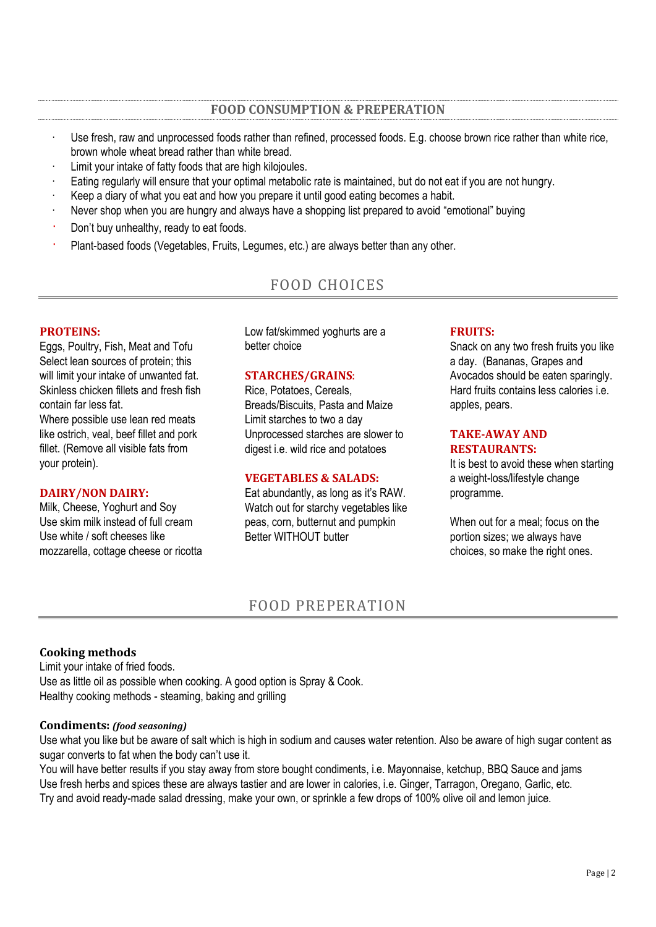- Use fresh, raw and unprocessed foods rather than refined, processed foods. E.g. choose brown rice rather than white rice, brown whole wheat bread rather than white bread.
- Limit your intake of fatty foods that are high kilojoules.
- Eating regularly will ensure that your optimal metabolic rate is maintained, but do not eat if you are not hungry.
- Keep a diary of what you eat and how you prepare it until good eating becomes a habit.
- Never shop when you are hungry and always have a shopping list prepared to avoid "emotional" buying
- Don't buy unhealthy, ready to eat foods.
- Plant-based foods (Vegetables, Fruits, Legumes, etc.) are always better than any other.

# FOOD CHOICES

#### **PROTEINS:**

Eggs, Poultry, Fish, Meat and Tofu Select lean sources of protein; this will limit your intake of unwanted fat. Skinless chicken fillets and fresh fish contain far less fat.

Where possible use lean red meats like ostrich, veal, beef fillet and pork fillet. (Remove all visible fats from your protein).

#### **DAIRY/NON DAIRY:**

Milk, Cheese, Yoghurt and Soy Use skim milk instead of full cream Use white / soft cheeses like mozzarella, cottage cheese or ricotta Low fat/skimmed yoghurts are a better choice

#### **STARCHES/GRAINS**:

Rice, Potatoes, Cereals, Breads/Biscuits, Pasta and Maize Limit starches to two a day Unprocessed starches are slower to digest i.e. wild rice and potatoes

#### **VEGETABLES & SALADS:**

Eat abundantly, as long as it's RAW. Watch out for starchy vegetables like peas, corn, butternut and pumpkin Better WITHOUT butter

#### **FRUITS:**

Snack on any two fresh fruits you like a day. (Bananas, Grapes and Avocados should be eaten sparingly. Hard fruits contains less calories i.e. apples, pears.

#### **TAKE-AWAY AND RESTAURANTS:**

It is best to avoid these when starting a weight-loss/lifestyle change programme.

When out for a meal; focus on the portion sizes; we always have choices, so make the right ones.

# FOOD PREPERATION

#### **Cooking methods**

Limit your intake of fried foods. Use as little oil as possible when cooking. A good option is Spray & Cook. Healthy cooking methods - steaming, baking and grilling

#### **Condiments:** *(food seasoning)*

Use what you like but be aware of salt which is high in sodium and causes water retention. Also be aware of high sugar content as sugar converts to fat when the body can't use it.

You will have better results if you stay away from store bought condiments, i.e. Mayonnaise, ketchup, BBQ Sauce and jams Use fresh herbs and spices these are always tastier and are lower in calories, i.e. Ginger, Tarragon, Oregano, Garlic, etc. Try and avoid ready-made salad dressing, make your own, or sprinkle a few drops of 100% olive oil and lemon juice.